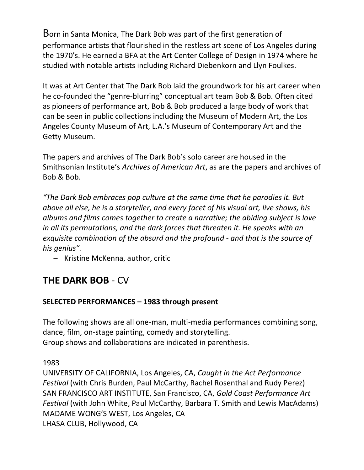Born in Santa Monica, The Dark Bob was part of the first generation of performance artists that flourished in the restless art scene of Los Angeles during the 1970's. He earned a BFA at the Art Center College of Design in 1974 where he studied with notable artists including Richard Diebenkorn and Llyn Foulkes.

It was at Art Center that The Dark Bob laid the groundwork for his art career when he co-founded the "genre-blurring" conceptual art team Bob & Bob. Often cited as pioneers of performance art, Bob & Bob produced a large body of work that can be seen in public collections including the Museum of Modern Art, the Los Angeles County Museum of Art, L.A.'s Museum of Contemporary Art and the Getty Museum.

The papers and archives of The Dark Bob's solo career are housed in the Smithsonian Institute's *Archives of American Art*, as are the papers and archives of Bob & Bob.

*"The Dark Bob embraces pop culture at the same time that he parodies it. But above all else, he is a storyteller, and every facet of his visual art, live shows, his albums and films comes together to create a narrative; the abiding subject is love*  in all its permutations, and the dark forces that threaten it. He speaks with an *exquisite combination of the absurd and the profound - and that is the source of his genius".*

– Kristine McKenna, author, critic

# **THE DARK BOB** - CV

## **SELECTED PERFORMANCES – 1983 through present**

The following shows are all one-man, multi-media performances combining song, dance, film, on-stage painting, comedy and storytelling. Group shows and collaborations are indicated in parenthesis.

1983

UNIVERSITY OF CALIFORNIA, Los Angeles, CA, *Caught in the Act Performance Festival* (with Chris Burden, Paul McCarthy, Rachel Rosenthal and Rudy Perez) SAN FRANCISCO ART INSTITUTE, San Francisco, CA, *Gold Coast Performance Art Festival* (with John White, Paul McCarthy, Barbara T. Smith and Lewis MacAdams) MADAME WONG'S WEST, Los Angeles, CA LHASA CLUB, Hollywood, CA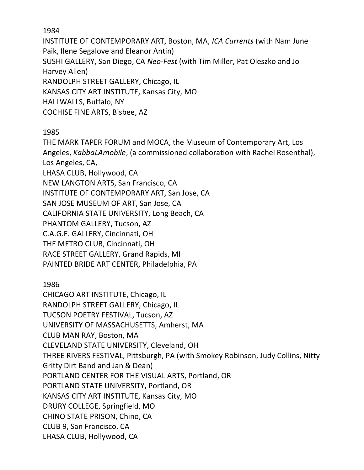INSTITUTE OF CONTEMPORARY ART, Boston, MA, *ICA Currents* (with Nam June Paik, Ilene Segalove and Eleanor Antin) SUSHI GALLERY, San Diego, CA *Neo-Fest* (with Tim Miller, Pat Oleszko and Jo Harvey Allen) RANDOLPH STREET GALLERY, Chicago, IL KANSAS CITY ART INSTITUTE, Kansas City, MO HALLWALLS, Buffalo, NY COCHISE FINE ARTS, Bisbee, AZ

## 1985

THE MARK TAPER FORUM and MOCA, the Museum of Contemporary Art, Los Angeles, *KabbaLAmobile*, (a commissioned collaboration with Rachel Rosenthal), Los Angeles, CA, LHASA CLUB, Hollywood, CA NEW LANGTON ARTS, San Francisco, CA INSTITUTE OF CONTEMPORARY ART, San Jose, CA SAN JOSE MUSEUM OF ART, San Jose, CA CALIFORNIA STATE UNIVERSITY, Long Beach, CA PHANTOM GALLERY, Tucson, AZ C.A.G.E. GALLERY, Cincinnati, OH THE METRO CLUB, Cincinnati, OH RACE STREET GALLERY, Grand Rapids, MI PAINTED BRIDE ART CENTER, Philadelphia, PA

1986

CHICAGO ART INSTITUTE, Chicago, IL RANDOLPH STREET GALLERY, Chicago, IL TUCSON POETRY FESTIVAL, Tucson, AZ UNIVERSITY OF MASSACHUSETTS, Amherst, MA CLUB MAN RAY, Boston, MA CLEVELAND STATE UNIVERSITY, Cleveland, OH THREE RIVERS FESTIVAL, Pittsburgh, PA (with Smokey Robinson, Judy Collins, Nitty Gritty Dirt Band and Jan & Dean) PORTLAND CENTER FOR THE VISUAL ARTS, Portland, OR PORTLAND STATE UNIVERSITY, Portland, OR KANSAS CITY ART INSTITUTE, Kansas City, MO DRURY COLLEGE, Springfield, MO CHINO STATE PRISON, Chino, CA CLUB 9, San Francisco, CA LHASA CLUB, Hollywood, CA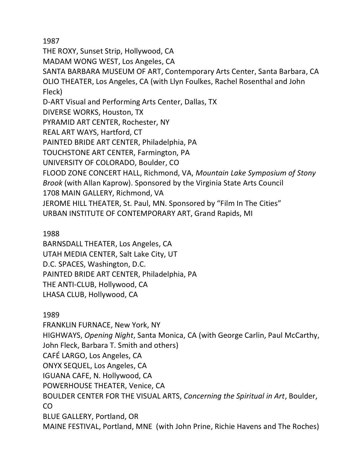THE ROXY, Sunset Strip, Hollywood, CA

MADAM WONG WEST, Los Angeles, CA

SANTA BARBARA MUSEUM OF ART, Contemporary Arts Center, Santa Barbara, CA OLIO THEATER, Los Angeles, CA (with Llyn Foulkes, Rachel Rosenthal and John Fleck)

D-ART Visual and Performing Arts Center, Dallas, TX

DIVERSE WORKS, Houston, TX

PYRAMID ART CENTER, Rochester, NY

REAL ART WAYS, Hartford, CT

PAINTED BRIDE ART CENTER, Philadelphia, PA

TOUCHSTONE ART CENTER, Farmington, PA

UNIVERSITY OF COLORADO, Boulder, CO

FLOOD ZONE CONCERT HALL, Richmond, VA, *Mountain Lake Symposium of Stony* 

*Brook* (with Allan Kaprow). Sponsored by the Virginia State Arts Council

1708 MAIN GALLERY, Richmond, VA

JEROME HILL THEATER, St. Paul, MN. Sponsored by "Film In The Cities"

URBAN INSTITUTE OF CONTEMPORARY ART, Grand Rapids, MI

1988

BARNSDALL THEATER, Los Angeles, CA UTAH MEDIA CENTER, Salt Lake City, UT D.C. SPACES, Washington, D.C. PAINTED BRIDE ART CENTER, Philadelphia, PA THE ANTI-CLUB, Hollywood, CA LHASA CLUB, Hollywood, CA

1989

FRANKLIN FURNACE, New York, NY HIGHWAYS, *Opening Night*, Santa Monica, CA (with George Carlin, Paul McCarthy, John Fleck, Barbara T. Smith and others) CAFÉ LARGO, Los Angeles, CA ONYX SEQUEL, Los Angeles, CA IGUANA CAFE, N. Hollywood, CA POWERHOUSE THEATER, Venice, CA BOULDER CENTER FOR THE VISUAL ARTS, *Concerning the Spiritual in Art*, Boulder, CO BLUE GALLERY, Portland, OR MAINE FESTIVAL, Portland, MNE (with John Prine, Richie Havens and The Roches)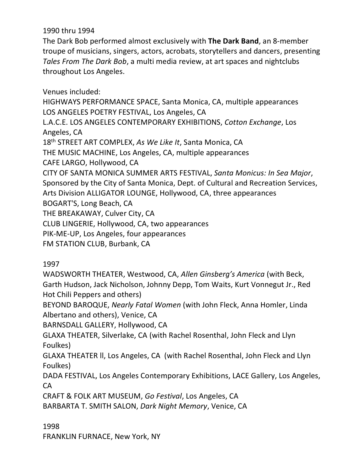## 1990 thru 1994

The Dark Bob performed almost exclusively with **The Dark Band**, an 8-member troupe of musicians, singers, actors, acrobats, storytellers and dancers, presenting *Tales From The Dark Bob*, a multi media review, at art spaces and nightclubs throughout Los Angeles.

Venues included: HIGHWAYS PERFORMANCE SPACE, Santa Monica, CA, multiple appearances LOS ANGELES POETRY FESTIVAL, Los Angeles, CA L.A.C.E. LOS ANGELES CONTEMPORARY EXHIBITIONS, *Cotton Exchange*, Los Angeles, CA 18th STREET ART COMPLEX, *As We Like It*, Santa Monica, CA THE MUSIC MACHINE, Los Angeles, CA, multiple appearances CAFE LARGO, Hollywood, CA CITY OF SANTA MONICA SUMMER ARTS FESTIVAL, *Santa Monicus: In Sea Major*, Sponsored by the City of Santa Monica, Dept. of Cultural and Recreation Services, Arts Division ALLIGATOR LOUNGE, Hollywood, CA, three appearances BOGART'S, Long Beach, CA THE BREAKAWAY, Culver City, CA CLUB LINGERIE, Hollywood, CA, two appearances PIK-ME-UP, Los Angeles, four appearances FM STATION CLUB, Burbank, CA

1997

WADSWORTH THEATER, Westwood, CA, *Allen Ginsberg's America* (with Beck, Garth Hudson, Jack Nicholson, Johnny Depp, Tom Waits, Kurt Vonnegut Jr., Red Hot Chili Peppers and others)

BEYOND BAROQUE, *Nearly Fatal Women* (with John Fleck, Anna Homler, Linda Albertano and others), Venice, CA

BARNSDALL GALLERY, Hollywood, CA

GLAXA THEATER, Silverlake, CA (with Rachel Rosenthal, John Fleck and Llyn Foulkes)

GLAXA THEATER ll, Los Angeles, CA (with Rachel Rosenthal, John Fleck and Llyn Foulkes)

DADA FESTIVAL, Los Angeles Contemporary Exhibitions, LACE Gallery, Los Angeles, CA

CRAFT & FOLK ART MUSEUM, *Go Festival*, Los Angeles, CA BARBARTA T. SMITH SALON, *Dark Night Memory*, Venice, CA

1998

FRANKLIN FURNACE, New York, NY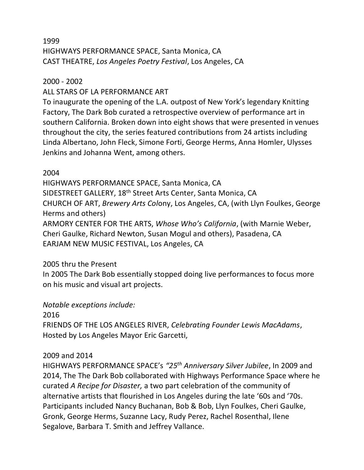## 1999 HIGHWAYS PERFORMANCE SPACE, Santa Monica, CA CAST THEATRE, *Los Angeles Poetry Festival*, Los Angeles, CA

## 2000 - 2002

ALL STARS OF LA PERFORMANCE ART

To inaugurate the opening of the L.A. outpost of New York's legendary Knitting Factory, The Dark Bob curated a retrospective overview of performance art in southern California. Broken down into eight shows that were presented in venues throughout the city, the series featured contributions from 24 artists including Linda Albertano, John Fleck, Simone Forti, George Herms, Anna Homler, Ulysses Jenkins and Johanna Went, among others.

## 2004

HIGHWAYS PERFORMANCE SPACE, Santa Monica, CA SIDESTREET GALLERY, 18<sup>th</sup> Street Arts Center, Santa Monica, CA CHURCH OF ART, *Brewery Arts Col*ony, Los Angeles, CA, (with Llyn Foulkes, George Herms and others) ARMORY CENTER FOR THE ARTS, *Whose Who's California*, (with Marnie Weber, Cheri Gaulke, Richard Newton, Susan Mogul and others), Pasadena, CA EARJAM NEW MUSIC FESTIVAL, Los Angeles, CA

## 2005 thru the Present

In 2005 The Dark Bob essentially stopped doing live performances to focus more on his music and visual art projects.

## *Notable exceptions include:*

2016

FRIENDS OF THE LOS ANGELES RIVER, *Celebrating Founder Lewis MacAdams*, Hosted by Los Angeles Mayor Eric Garcetti,

## 2009 and 2014

HIGHWAYS PERFORMANCE SPACE's *"25th Anniversary Silver Jubilee*, In 2009 and 2014, The The Dark Bob collaborated with Highways Performance Space where he curated *A Recipe for Disaster,* a two part celebration of the community of alternative artists that flourished in Los Angeles during the late '60s and '70s. Participants included Nancy Buchanan, Bob & Bob, Llyn Foulkes, Cheri Gaulke, Gronk, George Herms, Suzanne Lacy, Rudy Perez, Rachel Rosenthal, Ilene Segalove, Barbara T. Smith and Jeffrey Vallance.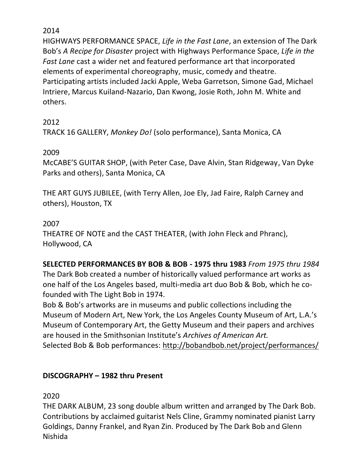HIGHWAYS PERFORMANCE SPACE, *Life in the Fast Lane*, an extension of The Dark Bob's *A Recipe for Disaster* project with Highways Performance Space, *Life in the Fast Lane* cast a wider net and featured performance art that incorporated elements of experimental choreography, music, comedy and theatre. Participating artists included Jacki Apple, Weba Garretson, Simone Gad, Michael Intriere, Marcus Kuiland-Nazario, Dan Kwong, Josie Roth, John M. White and others.

2012

TRACK 16 GALLERY, *Monkey Do!* (solo performance), Santa Monica, CA

## 2009

McCABE'S GUITAR SHOP, (with Peter Case, Dave Alvin, Stan Ridgeway, Van Dyke Parks and others), Santa Monica, CA

THE ART GUYS JUBILEE, (with Terry Allen, Joe Ely, Jad Faire, Ralph Carney and others), Houston, TX

## 2007

THEATRE OF NOTE and the CAST THEATER, (with John Fleck and Phranc), Hollywood, CA

**SELECTED PERFORMANCES BY BOB & BOB - 1975 thru 1983** *From 1975 thru 1984*  The Dark Bob created a number of historically valued performance art works as one half of the Los Angeles based, multi-media art duo Bob & Bob, which he cofounded with The Light Bob in 1974.

Bob & Bob's artworks are in museums and public collections including the Museum of Modern Art, New York, the Los Angeles County Museum of Art, L.A.'s Museum of Contemporary Art, the Getty Museum and their papers and archives are housed in the Smithsonian Institute's *Archives of American Art.* Selected Bob & Bob performances: <http://bobandbob.net/project/performances/>

## **DISCOGRAPHY – 1982 thru Present**

2020

THE DARK ALBUM, 23 song double album written and arranged by The Dark Bob. Contributions by acclaimed guitarist Nels Cline, Grammy nominated pianist Larry Goldings, Danny Frankel, and Ryan Zin. Produced by The Dark Bob and Glenn Nishida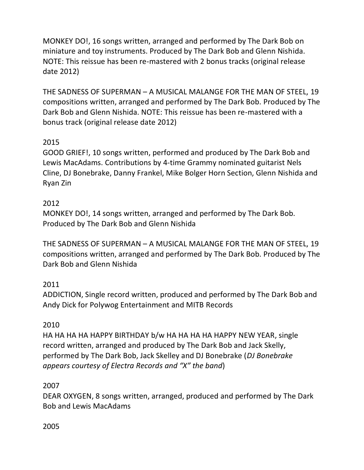MONKEY DO!, 16 songs written, arranged and performed by The Dark Bob on miniature and toy instruments. Produced by The Dark Bob and Glenn Nishida. NOTE: This reissue has been re-mastered with 2 bonus tracks (original release date 2012)

THE SADNESS OF SUPERMAN – A MUSICAL MALANGE FOR THE MAN OF STEEL, 19 compositions written, arranged and performed by The Dark Bob. Produced by The Dark Bob and Glenn Nishida. NOTE: This reissue has been re-mastered with a bonus track (original release date 2012)

## 2015

GOOD GRIEF!, 10 songs written, performed and produced by The Dark Bob and Lewis MacAdams. Contributions by 4-time Grammy nominated guitarist Nels Cline, DJ Bonebrake, Danny Frankel, Mike Bolger Horn Section, Glenn Nishida and Ryan Zin

## 2012

MONKEY DO!, 14 songs written, arranged and performed by The Dark Bob. Produced by The Dark Bob and Glenn Nishida

THE SADNESS OF SUPERMAN – A MUSICAL MALANGE FOR THE MAN OF STEEL, 19 compositions written, arranged and performed by The Dark Bob. Produced by The Dark Bob and Glenn Nishida

## 2011

ADDICTION, Single record written, produced and performed by The Dark Bob and Andy Dick for Polywog Entertainment and MITB Records

### 2010

HA HA HA HA HAPPY BIRTHDAY b/w HA HA HA HA HAPPY NEW YEAR, single record written, arranged and produced by The Dark Bob and Jack Skelly, performed by The Dark Bob, Jack Skelley and DJ Bonebrake (*DJ Bonebrake appears courtesy of Electra Records and "X" the band*)

### 2007

DEAR OXYGEN, 8 songs written, arranged, produced and performed by The Dark Bob and Lewis MacAdams

### 2005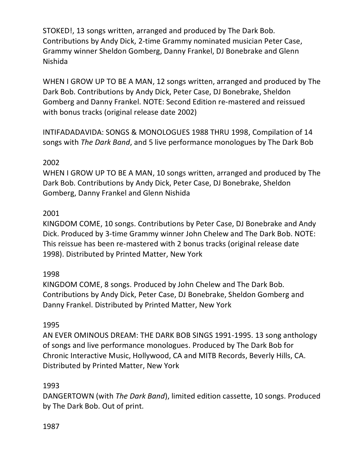STOKED!, 13 songs written, arranged and produced by The Dark Bob. Contributions by Andy Dick, 2-time Grammy nominated musician Peter Case, Grammy winner Sheldon Gomberg, Danny Frankel, DJ Bonebrake and Glenn Nishida

WHEN I GROW UP TO BE A MAN, 12 songs written, arranged and produced by The Dark Bob. Contributions by Andy Dick, Peter Case, DJ Bonebrake, Sheldon Gomberg and Danny Frankel. NOTE: Second Edition re-mastered and reissued with bonus tracks (original release date 2002)

INTIFADADAVIDA: SONGS & MONOLOGUES 1988 THRU 1998, Compilation of 14 songs with *The Dark Band*, and 5 live performance monologues by The Dark Bob

### 2002

WHEN I GROW UP TO BE A MAN, 10 songs written, arranged and produced by The Dark Bob. Contributions by Andy Dick, Peter Case, DJ Bonebrake, Sheldon Gomberg, Danny Frankel and Glenn Nishida

### 2001

KINGDOM COME, 10 songs. Contributions by Peter Case, DJ Bonebrake and Andy Dick. Produced by 3-time Grammy winner John Chelew and The Dark Bob. NOTE: This reissue has been re-mastered with 2 bonus tracks (original release date 1998). Distributed by Printed Matter, New York

### 1998

KINGDOM COME, 8 songs. Produced by John Chelew and The Dark Bob. Contributions by Andy Dick, Peter Case, DJ Bonebrake, Sheldon Gomberg and Danny Frankel. Distributed by Printed Matter, New York

### 1995

AN EVER OMINOUS DREAM: THE DARK BOB SINGS 1991-1995. 13 song anthology of songs and live performance monologues. Produced by The Dark Bob for Chronic Interactive Music, Hollywood, CA and MITB Records, Beverly Hills, CA. Distributed by Printed Matter, New York

### 1993

DANGERTOWN (with *The Dark Band*), limited edition cassette, 10 songs. Produced by The Dark Bob. Out of print.

#### 1987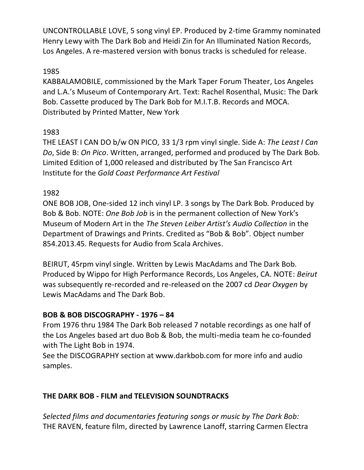UNCONTROLLABLE LOVE, 5 song vinyl EP. Produced by 2-time Grammy nominated Henry Lewy with The Dark Bob and Heidi Zin for An Illuminated Nation Records, Los Angeles. A re-mastered version with bonus tracks is scheduled for release.

## 1985

KABBALAMOBILE, commissioned by the Mark Taper Forum Theater, Los Angeles and L.A.'s Museum of Contemporary Art. Text: Rachel Rosenthal, Music: The Dark Bob. Cassette produced by The Dark Bob for M.I.T.B. Records and MOCA. Distributed by Printed Matter, New York

## 1983

THE LEAST I CAN DO b/w ON PICO, 33 1/3 rpm vinyl single. Side A: *The Least I Can Do*, Side B: *On Pico*. Written, arranged, performed and produced by The Dark Bob. Limited Edition of 1,000 released and distributed by The San Francisco Art Institute for the *Gold Coast Performance Art Festival*

## 1982

ONE BOB JOB, One-sided 12 inch vinyl LP. 3 songs by The Dark Bob. Produced by Bob & Bob. NOTE: *One Bob Job* is in the permanent collection of New York's Museum of Modern Art in the *The Steven Leiber Artist's Audio Collection* in the Department of Drawings and Prints. Credited as "Bob & Bob". Object number 854.2013.45. Requests for Audio from Scala Archives.

BEIRUT, 45rpm vinyl single. Written by Lewis MacAdams and The Dark Bob. Produced by Wippo for High Performance Records, Los Angeles, CA. NOTE: *Beirut* was subsequently re-recorded and re-released on the 2007 cd *Dear Oxygen* by Lewis MacAdams and The Dark Bob.

### **BOB & BOB DISCOGRAPHY - 1976 – 84**

From 1976 thru 1984 The Dark Bob released 7 notable recordings as one half of the Los Angeles based art duo Bob & Bob, the multi-media team he co-founded with The Light Bob in 1974.

See the DISCOGRAPHY section at www.darkbob.com for more info and audio samples.

## **THE DARK BOB - FILM and TELEVISION SOUNDTRACKS**

*Selected films and documentaries featuring songs or music by The Dark Bob:* THE RAVEN, feature film, directed by Lawrence Lanoff, starring Carmen Electra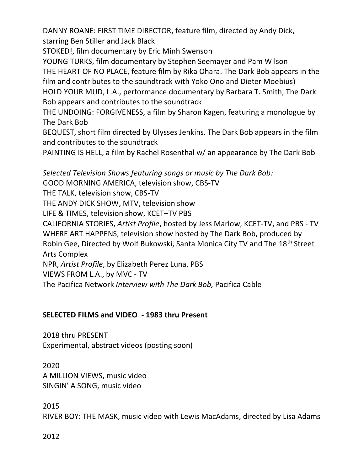DANNY ROANE: FIRST TIME DIRECTOR, feature film, directed by Andy Dick, starring Ben Stiller and Jack Black

STOKED!, film documentary by Eric Minh Swenson

YOUNG TURKS, film documentary by Stephen Seemayer and Pam Wilson THE HEART OF NO PLACE, feature film by Rika Ohara. The Dark Bob appears in the film and contributes to the soundtrack with Yoko Ono and Dieter Moebius) HOLD YOUR MUD, L.A., performance documentary by Barbara T. Smith, The Dark Bob appears and contributes to the soundtrack

THE UNDOING: FORGIVENESS, a film by Sharon Kagen, featuring a monologue by The Dark Bob

BEQUEST, short film directed by Ulysses Jenkins. The Dark Bob appears in the film and contributes to the soundtrack

PAINTING IS HELL, a film by Rachel Rosenthal w/ an appearance by The Dark Bob

*Selected Television Shows featuring songs or music by The Dark Bob:* GOOD MORNING AMERICA, television show, CBS-TV THE TALK, television show, CBS-TV THE ANDY DICK SHOW, MTV, television show LIFE & TIMES, television show, KCET–TV PBS CALIFORNIA STORIES, *Artist Profile*, hosted by Jess Marlow, KCET-TV, and PBS - TV WHERE ART HAPPENS, television show hosted by The Dark Bob, produced by Robin Gee, Directed by Wolf Bukowski, Santa Monica City TV and The 18<sup>th</sup> Street Arts Complex NPR, *Artist Profile*, by Elizabeth Perez Luna, PBS VIEWS FROM L.A., by MVC - TV

The Pacifica Network *Interview with The Dark Bob,* Pacifica Cable

## **SELECTED FILMS and VIDEO - 1983 thru Present**

2018 thru PRESENT Experimental, abstract videos (posting soon)

2020 A MILLION VIEWS, music video SINGIN' A SONG, music video

2015 RIVER BOY: THE MASK, music video with Lewis MacAdams, directed by Lisa Adams

2012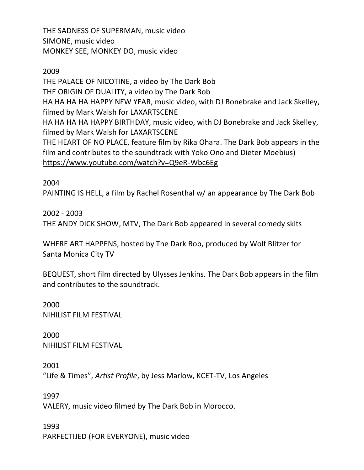THE SADNESS OF SUPERMAN, music video SIMONE, music video MONKEY SEE, MONKEY DO, music video

2009

THE PALACE OF NICOTINE, a video by The Dark Bob THE ORIGIN OF DUALITY, a video by The Dark Bob HA HA HA HA HAPPY NEW YEAR, music video, with DJ Bonebrake and Jack Skelley, filmed by Mark Walsh for LAXARTSCENE HA HA HA HA HAPPY BIRTHDAY, music video, with DJ Bonebrake and Jack Skelley, filmed by Mark Walsh for LAXARTSCENE THE HEART OF NO PLACE, feature film by Rika Ohara. The Dark Bob appears in the film and contributes to the soundtrack with Yoko Ono and Dieter Moebius) <https://www.youtube.com/watch?v=Q9eR-Wbc6Eg>

2004

PAINTING IS HELL, a film by Rachel Rosenthal w/ an appearance by The Dark Bob

2002 - 2003 THE ANDY DICK SHOW, MTV, The Dark Bob appeared in several comedy skits

WHERE ART HAPPENS, hosted by The Dark Bob, produced by Wolf Blitzer for Santa Monica City TV

BEQUEST, short film directed by Ulysses Jenkins. The Dark Bob appears in the film and contributes to the soundtrack.

2000 NIHILIST FILM FESTIVAL

2000 NIHILIST FILM FESTIVAL

2001 "Life & Times", *Artist Profile*, by Jess Marlow, KCET-TV, Los Angeles

1997 VALERY, music video filmed by The Dark Bob in Morocco.

1993 PARFECTIJED (FOR EVERYONE), music video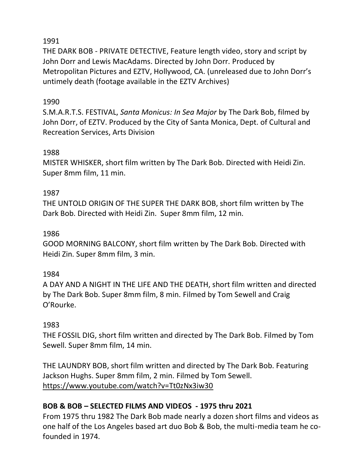THE DARK BOB - PRIVATE DETECTIVE, Feature length video, story and script by John Dorr and Lewis MacAdams. Directed by John Dorr. Produced by Metropolitan Pictures and EZTV, Hollywood, CA. (unreleased due to John Dorr's untimely death (footage available in the EZTV Archives)

### 1990

S.M.A.R.T.S. FESTIVAL, *Santa Monicus: In Sea Major* by The Dark Bob, filmed by John Dorr, of EZTV. Produced by the City of Santa Monica, Dept. of Cultural and Recreation Services, Arts Division

### 1988

MISTER WHISKER, short film written by The Dark Bob. Directed with Heidi Zin. Super 8mm film, 11 min.

### 1987

THE UNTOLD ORIGIN OF THE SUPER THE DARK BOB, short film written by The Dark Bob. Directed with Heidi Zin. Super 8mm film, 12 min.

### 1986

GOOD MORNING BALCONY, short film written by The Dark Bob. Directed with Heidi Zin. Super 8mm film, 3 min.

### 1984

A DAY AND A NIGHT IN THE LIFE AND THE DEATH, short film written and directed by The Dark Bob. Super 8mm film, 8 min. Filmed by Tom Sewell and Craig O'Rourke.

### 1983

THE FOSSIL DIG, short film written and directed by The Dark Bob. Filmed by Tom Sewell. Super 8mm film, 14 min.

THE LAUNDRY BOB, short film written and directed by The Dark Bob. Featuring Jackson Hughs. Super 8mm film, 2 min. Filmed by Tom Sewell. <https://www.youtube.com/watch?v=Tt0zNx3iw30>

### **BOB & BOB – SELECTED FILMS AND VIDEOS - 1975 thru 2021**

From 1975 thru 1982 The Dark Bob made nearly a dozen short films and videos as one half of the Los Angeles based art duo Bob & Bob, the multi-media team he cofounded in 1974.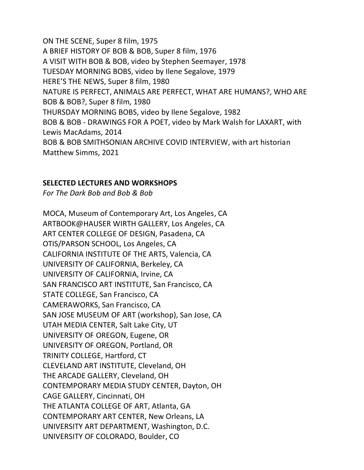ON THE SCENE, Super 8 film, 1975 A BRIEF HISTORY OF BOB & BOB, Super 8 film, 1976 A VISIT WITH BOB & BOB, video by Stephen Seemayer, 1978 TUESDAY MORNING BOBS, video by Ilene Segalove, 1979 HERE'S THE NEWS, Super 8 film, 1980 NATURE IS PERFECT, ANIMALS ARE PERFECT, WHAT ARE HUMANS?, WHO ARE BOB & BOB?, Super 8 film, 1980 THURSDAY MORNING BOBS, video by Ilene Segalove, 1982 BOB & BOB - DRAWINGS FOR A POET, video by Mark Walsh for LAXART, with Lewis MacAdams, 2014 BOB & BOB SMITHSONIAN ARCHIVE COVID INTERVIEW, with art historian Matthew Simms, 2021

#### **SELECTED LECTURES AND WORKSHOPS**

*For The Dark Bob and Bob & Bob*

MOCA, Museum of Contemporary Art, Los Angeles, CA ARTBOOK@HAUSER WIRTH GALLERY, Los Angeles, CA ART CENTER COLLEGE OF DESIGN, Pasadena, CA OTIS/PARSON SCHOOL, Los Angeles, CA CALIFORNIA INSTITUTE OF THE ARTS, Valencia, CA UNIVERSITY OF CALIFORNIA, Berkeley, CA UNIVERSITY OF CALIFORNIA, Irvine, CA SAN FRANCISCO ART INSTITUTE, San Francisco, CA STATE COLLEGE, San Francisco, CA CAMERAWORKS, San Francisco, CA SAN JOSE MUSEUM OF ART (workshop), San Jose, CA UTAH MEDIA CENTER, Salt Lake City, UT UNIVERSITY OF OREGON, Eugene, OR UNIVERSITY OF OREGON, Portland, OR TRINITY COLLEGE, Hartford, CT CLEVELAND ART INSTITUTE, Cleveland, OH THE ARCADE GALLERY, Cleveland, OH CONTEMPORARY MEDIA STUDY CENTER, Dayton, OH CAGE GALLERY, Cincinnati, OH THE ATLANTA COLLEGE OF ART, Atlanta, GA CONTEMPORARY ART CENTER, New Orleans, LA UNIVERSITY ART DEPARTMENT, Washington, D.C. UNIVERSITY OF COLORADO, Boulder, CO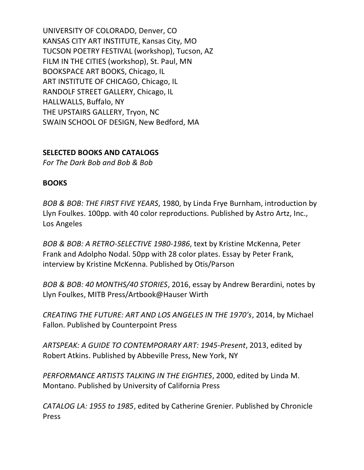UNIVERSITY OF COLORADO, Denver, CO KANSAS CITY ART INSTITUTE, Kansas City, MO TUCSON POETRY FESTIVAL (workshop), Tucson, AZ FILM IN THE CITIES (workshop), St. Paul, MN BOOKSPACE ART BOOKS, Chicago, IL ART INSTITUTE OF CHICAGO, Chicago, IL RANDOLF STREET GALLERY, Chicago, IL HALLWALLS, Buffalo, NY THE UPSTAIRS GALLERY, Tryon, NC SWAIN SCHOOL OF DESIGN, New Bedford, MA

### **SELECTED BOOKS AND CATALOGS**

*For The Dark Bob and Bob & Bob*

#### **BOOKS**

*BOB & BOB: THE FIRST FIVE YEARS*, 1980, by Linda Frye Burnham, introduction by Llyn Foulkes. 100pp. with 40 color reproductions. Published by Astro Artz, Inc., Los Angeles

*BOB & BOB: A RETRO-SELECTIVE 1980-1986*, text by Kristine McKenna, Peter Frank and Adolpho Nodal. 50pp with 28 color plates. Essay by Peter Frank, interview by Kristine McKenna. Published by Otis/Parson

*BOB & BOB: 40 MONTHS/40 STORIES*, 2016, essay by Andrew Berardini, notes by Llyn Foulkes, MITB Press/Artbook@Hauser Wirth

*CREATING THE FUTURE: ART AND LOS ANGELES IN THE 1970's*, 2014, by Michael Fallon. Published by Counterpoint Press

*ARTSPEAK: A GUIDE TO CONTEMPORARY ART: 1945-Present*, 2013, edited by Robert Atkins. Published by Abbeville Press, New York, NY

*PERFORMANCE ARTISTS TALKING IN THE EIGHTIES*, 2000, edited by Linda M. Montano. Published by University of California Press

*CATALOG LA: 1955 to 1985*, edited by Catherine Grenier*.* Published by Chronicle Press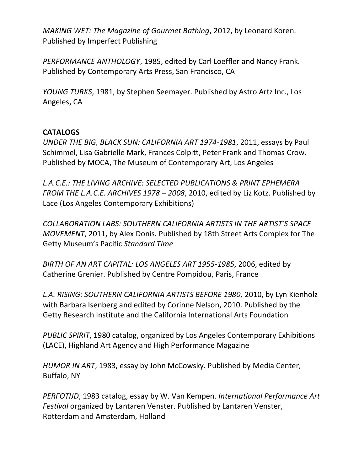*MAKING WET: The Magazine of Gourmet Bathing*, 2012, by Leonard Koren. Published by Imperfect Publishing

*PERFORMANCE ANTHOLOGY*, 1985, edited by Carl Loeffler and Nancy Frank. Published by Contemporary Arts Press, San Francisco, CA

*YOUNG TURKS*, 1981, by Stephen Seemayer. Published by Astro Artz Inc., Los Angeles, CA

#### **CATALOGS**

*UNDER THE BIG, BLACK SUN: CALIFORNIA ART 1974-1981*, 2011, essays by Paul Schimmel, Lisa Gabrielle Mark, Frances Colpitt, Peter Frank and Thomas Crow. Published by MOCA, The Museum of Contemporary Art, Los Angeles

*L.A.C.E.: THE LIVING ARCHIVE: SELECTED PUBLICATIONS & PRINT EPHEMERA FROM THE L.A.C.E. ARCHIVES 1978 – 2008*, 2010, edited by [Liz Kotz.](http://www.alibris.com/search/books/author/Kotz%2C%20Liz/aid/2755991) Published by [Lace \(Los Angeles Contemporary Exhibitions\)](http://www.alibris.com/search/books/author/Lace/aid/5828778)

*COLLABORATION LABS: SOUTHERN CALIFORNIA ARTISTS IN THE ARTIST'S SPACE MOVEMENT*, 2011, by Alex Donis. Published by 18th Street Arts Complex for The Getty Museum's Pacific *Standard Time*

*BIRTH OF AN ART CAPITAL: LOS ANGELES ART 1955-1985*, 2006, edited by Catherine Grenier. Published by Centre Pompidou, Paris, France

*L.A. RISING: SOUTHERN CALIFORNIA ARTISTS BEFORE 1980,* 2010, by [Lyn Kienholz](http://www.amazon.com/Lyn-Kienholz/e/B005JGQEJG/ref=ntt_athr_dp_pel_1) with [Barbara Isenberg](http://www.amazon.com/s/ref=ntt_athr_dp_sr_2?_encoding=UTF8&sort=relevancerank&search-alias=books&ie=UTF8&field-author=Barbara%20Isenberg) and edited by [Corinne Nelson,](http://www.amazon.com/s/ref=ntt_athr_dp_sr_4?_encoding=UTF8&sort=relevancerank&search-alias=books&ie=UTF8&field-author=Corinne%20Nelson) 2010. Published by the Getty Research Institute and the California International Arts Foundation

*PUBLIC SPIRIT*, 1980 catalog, organized by Los Angeles Contemporary Exhibitions (LACE), Highland Art Agency and High Performance Magazine

*HUMOR IN ART*, 1983, essay by John McCowsky. Published by Media Center, Buffalo, NY

*PERFOTIJD*, 1983 catalog, essay by W. Van Kempen. *International Performance Art Festival* organized by Lantaren Venster. Published by Lantaren Venster, Rotterdam and Amsterdam, Holland